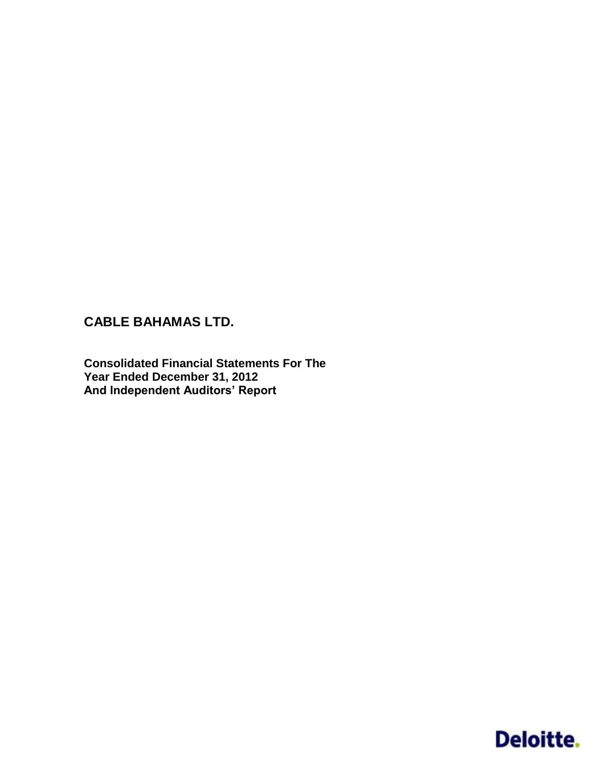**Consolidated Financial Statements For The Year Ended December 31, 2012 And Independent Auditors' Report**

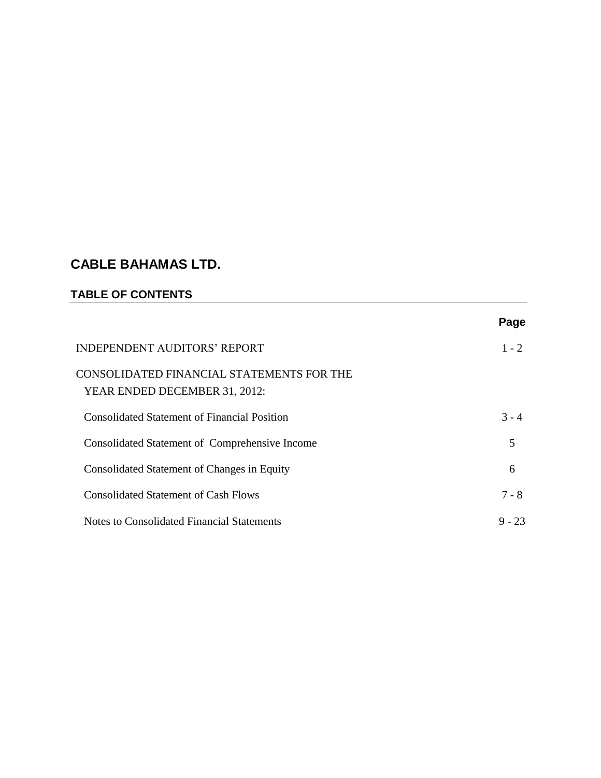# **TABLE OF CONTENTS**

|                                                                            | Page     |
|----------------------------------------------------------------------------|----------|
| <b>INDEPENDENT AUDITORS' REPORT</b>                                        | $1 - 2$  |
| CONSOLIDATED FINANCIAL STATEMENTS FOR THE<br>YEAR ENDED DECEMBER 31, 2012: |          |
| <b>Consolidated Statement of Financial Position</b>                        | $3 - 4$  |
| Consolidated Statement of Comprehensive Income                             | 5        |
| <b>Consolidated Statement of Changes in Equity</b>                         | 6        |
| <b>Consolidated Statement of Cash Flows</b>                                | $7 - 8$  |
| Notes to Consolidated Financial Statements                                 | $9 - 23$ |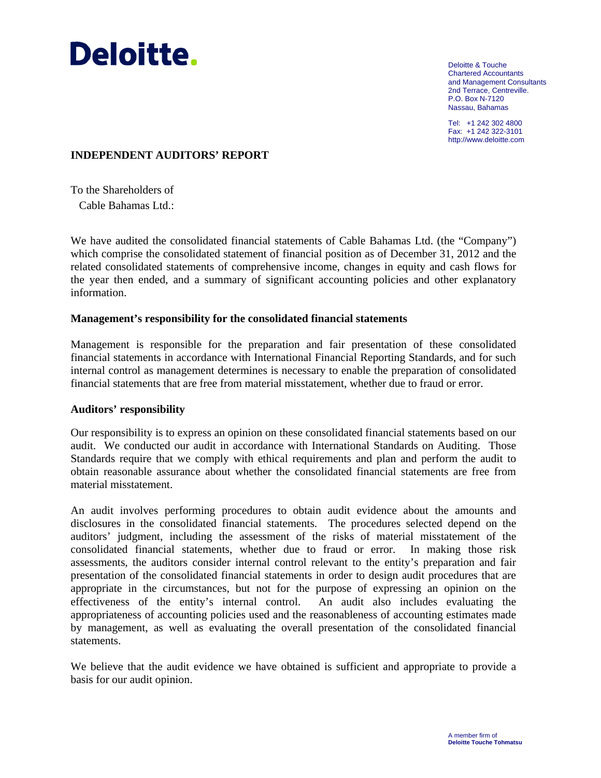

Deloitte & Touche Chartered Accountants and Management Consultants 2nd Terrace, Centreville. P.O. Box N-7120 Nassau, Bahamas

Tel: +1 242 302 4800 Fax: +1 242 322-3101 http://www.deloitte.com

#### **INDEPENDENT AUDITORS' REPORT**

To the Shareholders of Cable Bahamas Ltd.:

We have audited the consolidated financial statements of Cable Bahamas Ltd. (the "Company") which comprise the consolidated statement of financial position as of December 31, 2012 and the related consolidated statements of comprehensive income, changes in equity and cash flows for the year then ended, and a summary of significant accounting policies and other explanatory information.

#### **Management's responsibility for the consolidated financial statements**

Management is responsible for the preparation and fair presentation of these consolidated financial statements in accordance with International Financial Reporting Standards, and for such internal control as management determines is necessary to enable the preparation of consolidated financial statements that are free from material misstatement, whether due to fraud or error.

#### **Auditors' responsibility**

Our responsibility is to express an opinion on these consolidated financial statements based on our audit. We conducted our audit in accordance with International Standards on Auditing. Those Standards require that we comply with ethical requirements and plan and perform the audit to obtain reasonable assurance about whether the consolidated financial statements are free from material misstatement.

An audit involves performing procedures to obtain audit evidence about the amounts and disclosures in the consolidated financial statements. The procedures selected depend on the auditors' judgment, including the assessment of the risks of material misstatement of the consolidated financial statements, whether due to fraud or error. In making those risk assessments, the auditors consider internal control relevant to the entity's preparation and fair presentation of the consolidated financial statements in order to design audit procedures that are appropriate in the circumstances, but not for the purpose of expressing an opinion on the effectiveness of the entity's internal control. An audit also includes evaluating the appropriateness of accounting policies used and the reasonableness of accounting estimates made by management, as well as evaluating the overall presentation of the consolidated financial statements.

We believe that the audit evidence we have obtained is sufficient and appropriate to provide a basis for our audit opinion.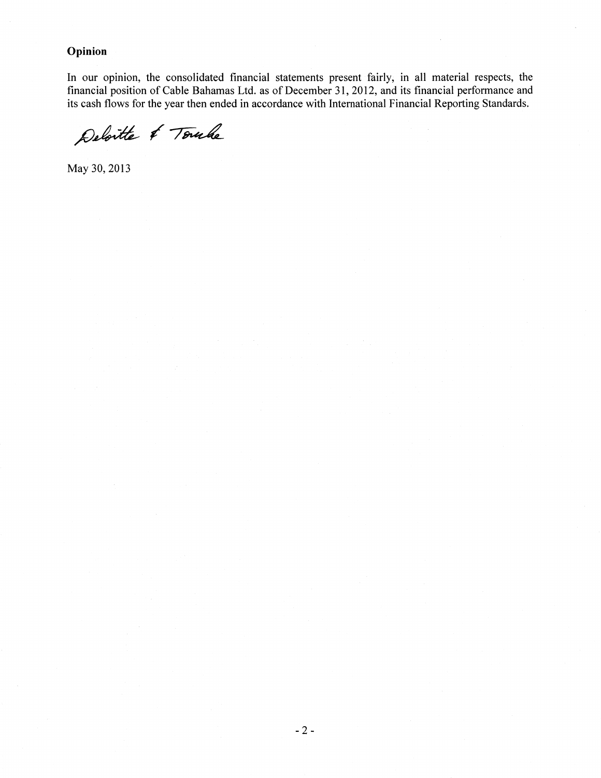#### Opinion

In our opinion, the consolidated financial statements present fairly, in all material respects, the financial position of Cable Bahamas Ltd. as of December 31, 2012, and its financial performance and its cash flows for the year then ended in accordance with International Financial Reporting Standards.

Deloitte & Touche

May 30, 2013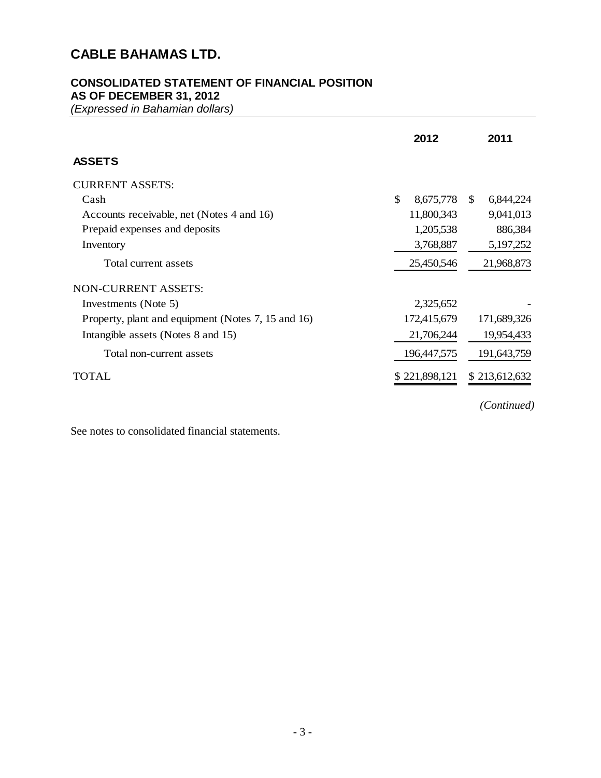# **CONSOLIDATED STATEMENT OF FINANCIAL POSITION AS OF DECEMBER 31, 2012**

*(Expressed in Bahamian dollars)*

|                                                    | 2012            | 2011                       |
|----------------------------------------------------|-----------------|----------------------------|
| <b>ASSETS</b>                                      |                 |                            |
| <b>CURRENT ASSETS:</b>                             |                 |                            |
| Cash                                               | \$<br>8,675,778 | <sup>\$</sup><br>6,844,224 |
| Accounts receivable, net (Notes 4 and 16)          | 11,800,343      | 9,041,013                  |
| Prepaid expenses and deposits                      | 1,205,538       | 886,384                    |
| Inventory                                          | 3,768,887       | 5,197,252                  |
| Total current assets                               | 25,450,546      | 21,968,873                 |
| <b>NON-CURRENT ASSETS:</b>                         |                 |                            |
| Investments (Note 5)                               | 2,325,652       |                            |
| Property, plant and equipment (Notes 7, 15 and 16) | 172,415,679     | 171,689,326                |
| Intangible assets (Notes 8 and 15)                 | 21,706,244      | 19,954,433                 |
| Total non-current assets                           | 196,447,575     | 191,643,759                |
| <b>TOTAL</b>                                       | \$221,898,121   | \$213,612,632              |
|                                                    |                 |                            |

*(Continued)*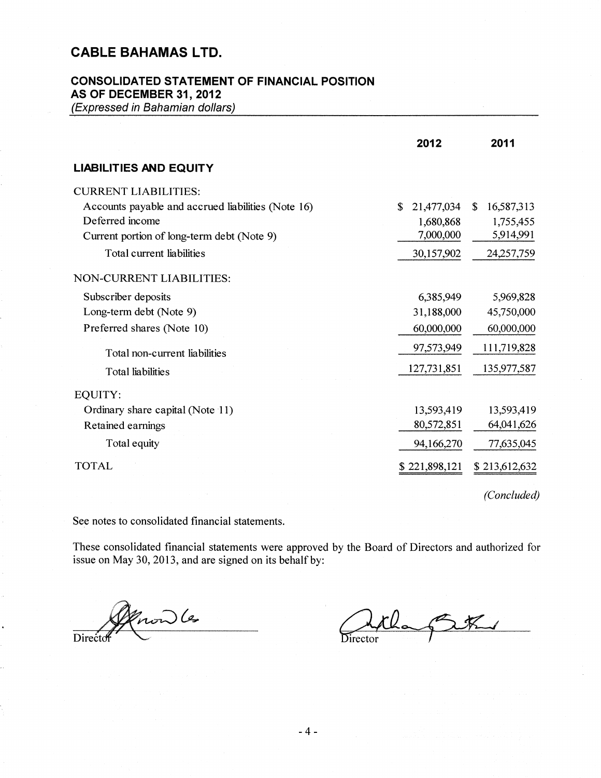#### **CONSOLIDATED STATEMENT OF FINANCIAL POSITION** AS OF DECEMBER 31, 2012

(Expressed in Bahamian dollars)

|                                                    | 2012             | 2011                       |
|----------------------------------------------------|------------------|----------------------------|
| <b>LIABILITIES AND EQUITY</b>                      |                  |                            |
| <b>CURRENT LIABILITIES:</b>                        |                  |                            |
| Accounts payable and accrued liabilities (Note 16) | \$<br>21,477,034 | 16,587,313<br>$\mathbb{S}$ |
| Deferred income                                    | 1,680,868        | 1,755,455                  |
| Current portion of long-term debt (Note 9)         | 7,000,000        | 5,914,991                  |
| Total current liabilities                          | 30,157,902       | 24,257,759                 |
| NON-CURRENT LIABILITIES:                           |                  |                            |
| Subscriber deposits                                | 6,385,949        | 5,969,828                  |
| Long-term debt (Note 9)                            | 31,188,000       | 45,750,000                 |
| Preferred shares (Note 10)                         | 60,000,000       | 60,000,000                 |
| Total non-current liabilities                      | 97,573,949       | 111,719,828                |
| Total liabilities                                  | 127,731,851      | 135,977,587                |
| EQUITY:                                            |                  |                            |
| Ordinary share capital (Note 11)                   | 13,593,419       | 13,593,419                 |
| Retained earnings                                  | 80,572,851       | 64,041,626                 |
| Total equity                                       | 94,166,270       | 77,635,045                 |
| <b>TOTAL</b>                                       | \$221,898,121    | \$213,612,632              |
|                                                    |                  | (Concluded)                |

See notes to consolidated financial statements.

These consolidated financial statements were approved by the Board of Directors and authorized for issue on May 30, 2013, and are signed on its behalf by:

now les Directo

ik Director

 $-4-$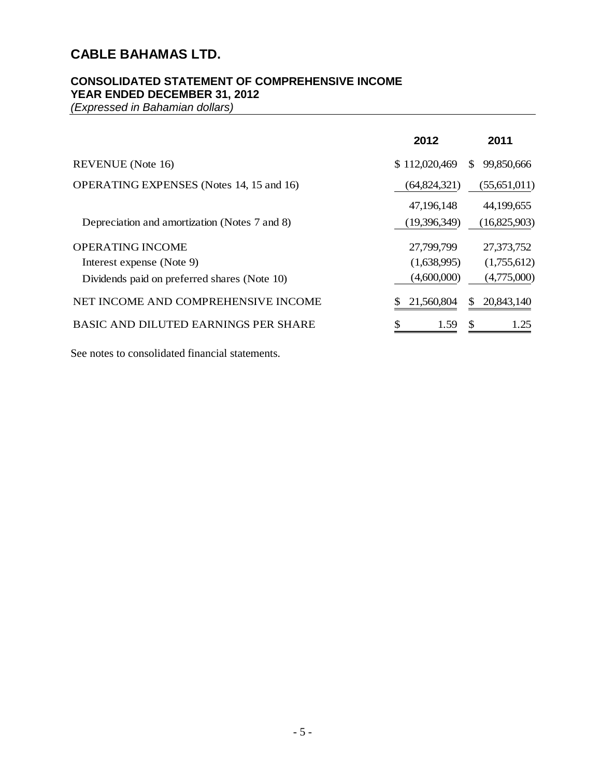#### **CONSOLIDATED STATEMENT OF COMPREHENSIVE INCOME YEAR ENDED DECEMBER 31, 2012**

*(Expressed in Bahamian dollars)*

|                                                 | 2012            | 2011              |
|-------------------------------------------------|-----------------|-------------------|
| <b>REVENUE</b> (Note 16)                        | \$112,020,469   | 99,850,666<br>\$. |
| <b>OPERATING EXPENSES</b> (Notes 14, 15 and 16) | (64,824,321)    | (55,651,011)      |
|                                                 | 47,196,148      | 44,199,655        |
| Depreciation and amortization (Notes 7 and 8)   | (19,396,349)    | (16,825,903)      |
| <b>OPERATING INCOME</b>                         | 27,799,799      | 27,373,752        |
| Interest expense (Note 9)                       | (1,638,995)     | (1,755,612)       |
| Dividends paid on preferred shares (Note 10)    | (4,600,000)     | (4,775,000)       |
| NET INCOME AND COMPREHENSIVE INCOME             | 21,560,804<br>S | 20,843,140<br>\$  |
| BASIC AND DILUTED EARNINGS PER SHARE            | 1.59            | S<br>1.25         |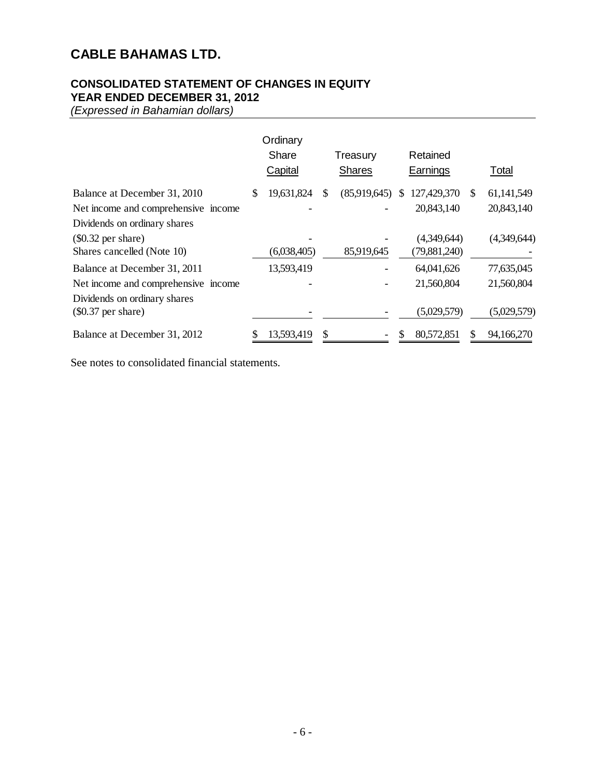## **CONSOLIDATED STATEMENT OF CHANGES IN EQUITY YEAR ENDED DECEMBER 31, 2012**

*(Expressed in Bahamian dollars)*

|                                     |   | Ordinary    |               |               |               |                |          |              |
|-------------------------------------|---|-------------|---------------|---------------|---------------|----------------|----------|--------------|
|                                     |   | Share       |               | Treasury      |               | Retained       |          |              |
|                                     |   | Capital     |               | <b>Shares</b> |               | Earnings       |          | Total        |
| Balance at December 31, 2010        | S | 19,631,824  | <sup>\$</sup> | (85,919,645)  | <sup>\$</sup> | 127,429,370    | <b>S</b> | 61, 141, 549 |
| Net income and comprehensive income |   |             |               |               |               | 20,843,140     |          | 20,843,140   |
| Dividends on ordinary shares        |   |             |               |               |               |                |          |              |
| $(\$0.32$ per share)                |   |             |               |               |               | (4,349,644)    |          | (4,349,644)  |
| Shares cancelled (Note 10)          |   | (6,038,405) |               | 85,919,645    |               | (79, 881, 240) |          |              |
| Balance at December 31, 2011        |   | 13,593,419  |               |               |               | 64,041,626     |          | 77,635,045   |
| Net income and comprehensive income |   |             |               |               |               | 21,560,804     |          | 21,560,804   |
| Dividends on ordinary shares        |   |             |               |               |               |                |          |              |
| $(\$0.37$ per share)                |   |             |               |               |               | (5,029,579)    |          | (5,029,579)  |
| Balance at December 31, 2012        |   | 13,593,419  | S             |               | S             | 80,572,851     |          | 94,166,270   |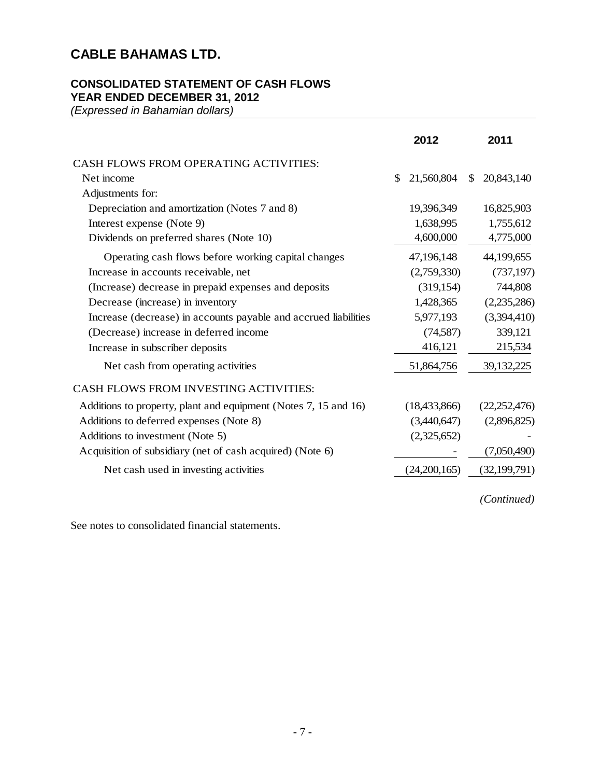# **CONSOLIDATED STATEMENT OF CASH FLOWS**

**YEAR ENDED DECEMBER 31, 2012**

*(Expressed in Bahamian dollars)*

|                                                                 | 2012             | 2011                       |
|-----------------------------------------------------------------|------------------|----------------------------|
| <b>CASH FLOWS FROM OPERATING ACTIVITIES:</b>                    |                  |                            |
| Net income                                                      | 21,560,804<br>\$ | 20,843,140<br>$\mathbb{S}$ |
| Adjustments for:                                                |                  |                            |
| Depreciation and amortization (Notes 7 and 8)                   | 19,396,349       | 16,825,903                 |
| Interest expense (Note 9)                                       | 1,638,995        | 1,755,612                  |
| Dividends on preferred shares (Note 10)                         | 4,600,000        | 4,775,000                  |
| Operating cash flows before working capital changes             | 47,196,148       | 44,199,655                 |
| Increase in accounts receivable, net                            | (2,759,330)      | (737, 197)                 |
| (Increase) decrease in prepaid expenses and deposits            | (319, 154)       | 744,808                    |
| Decrease (increase) in inventory                                | 1,428,365        | (2,235,286)                |
| Increase (decrease) in accounts payable and accrued liabilities | 5,977,193        | (3,394,410)                |
| (Decrease) increase in deferred income                          | (74, 587)        | 339,121                    |
| Increase in subscriber deposits                                 | 416,121          | 215,534                    |
| Net cash from operating activities                              | 51,864,756       | 39, 132, 225               |
| CASH FLOWS FROM INVESTING ACTIVITIES:                           |                  |                            |
| Additions to property, plant and equipment (Notes 7, 15 and 16) | (18, 433, 866)   | (22, 252, 476)             |
| Additions to deferred expenses (Note 8)                         | (3,440,647)      | (2,896,825)                |
| Additions to investment (Note 5)                                | (2,325,652)      |                            |
| Acquisition of subsidiary (net of cash acquired) (Note 6)       |                  | (7,050,490)                |
| Net cash used in investing activities                           | (24,200,165)     | (32, 199, 791)             |
|                                                                 |                  | (Continued)                |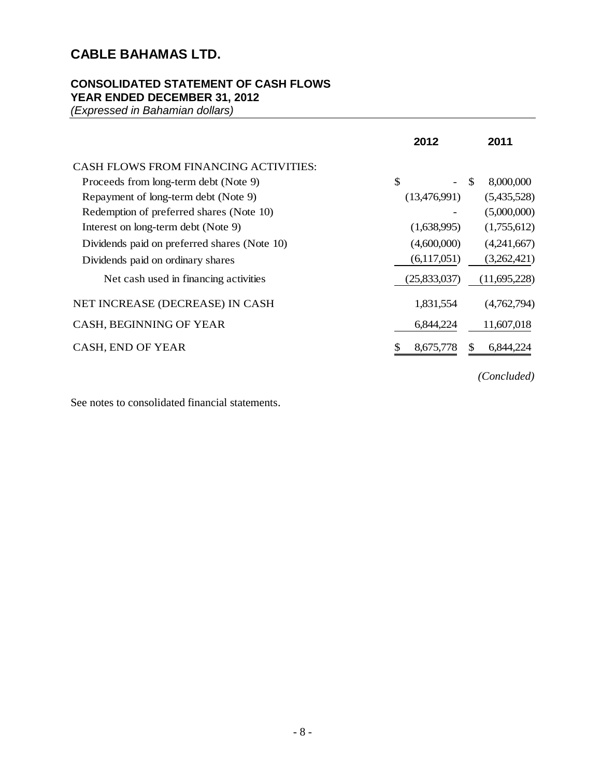# **CONSOLIDATED STATEMENT OF CASH FLOWS**

**YEAR ENDED DECEMBER 31, 2012**

*(Expressed in Bahamian dollars)*

|                                              | 2012            | 2011                       |
|----------------------------------------------|-----------------|----------------------------|
| CASH FLOWS FROM FINANCING ACTIVITIES:        |                 |                            |
| Proceeds from long-term debt (Note 9)        | \$              | 8,000,000<br><sup>\$</sup> |
| Repayment of long-term debt (Note 9)         | (13,476,991)    | (5,435,528)                |
| Redemption of preferred shares (Note 10)     |                 | (5,000,000)                |
| Interest on long-term debt (Note 9)          | (1,638,995)     | (1,755,612)                |
| Dividends paid on preferred shares (Note 10) | (4,600,000)     | (4,241,667)                |
| Dividends paid on ordinary shares            | (6,117,051)     | (3,262,421)                |
| Net cash used in financing activities        | (25,833,037)    | (11,695,228)               |
| NET INCREASE (DECREASE) IN CASH              | 1,831,554       | (4,762,794)                |
| CASH, BEGINNING OF YEAR                      | 6,844,224       | 11,607,018                 |
| CASH, END OF YEAR                            | \$<br>8,675,778 | \$<br>6,844,224            |
|                                              |                 | Concluded)                 |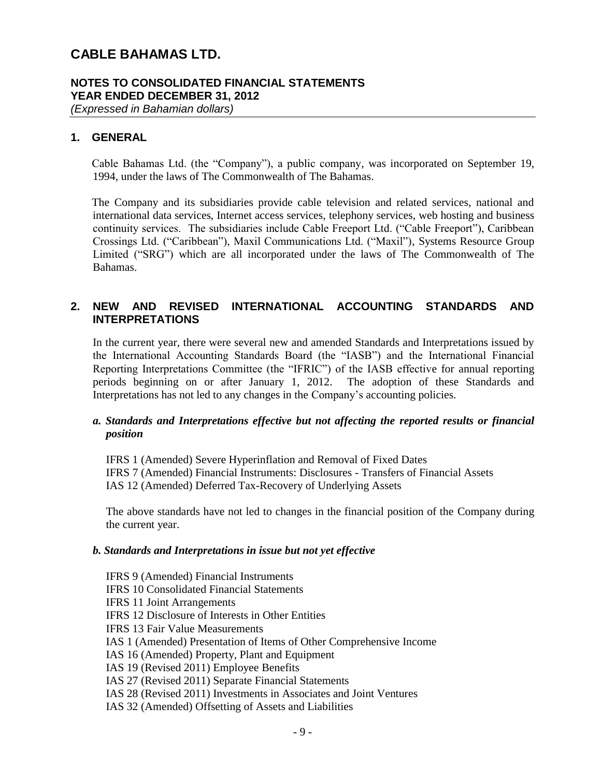# **NOTES TO CONSOLIDATED FINANCIAL STATEMENTS YEAR ENDED DECEMBER 31, 2012**

*(Expressed in Bahamian dollars)*

#### **1. GENERAL**

Cable Bahamas Ltd. (the "Company"), a public company, was incorporated on September 19, 1994, under the laws of The Commonwealth of The Bahamas.

The Company and its subsidiaries provide cable television and related services, national and international data services, Internet access services, telephony services, web hosting and business continuity services. The subsidiaries include Cable Freeport Ltd. ("Cable Freeport"), Caribbean Crossings Ltd. ("Caribbean"), Maxil Communications Ltd. ("Maxil"), Systems Resource Group Limited ("SRG") which are all incorporated under the laws of The Commonwealth of The Bahamas.

#### **2. NEW AND REVISED INTERNATIONAL ACCOUNTING STANDARDS AND INTERPRETATIONS**

In the current year, there were several new and amended Standards and Interpretations issued by the International Accounting Standards Board (the "IASB") and the International Financial Reporting Interpretations Committee (the "IFRIC") of the IASB effective for annual reporting periods beginning on or after January 1, 2012. The adoption of these Standards and Interpretations has not led to any changes in the Company's accounting policies.

#### *a. Standards and Interpretations effective but not affecting the reported results or financial position*

IFRS 1 (Amended) Severe Hyperinflation and Removal of Fixed Dates IFRS 7 (Amended) Financial Instruments: Disclosures - Transfers of Financial Assets IAS 12 (Amended) Deferred Tax-Recovery of Underlying Assets

The above standards have not led to changes in the financial position of the Company during the current year.

#### *b. Standards and Interpretations in issue but not yet effective*

IFRS 9 (Amended) Financial Instruments IFRS 10 Consolidated Financial Statements IFRS 11 Joint Arrangements IFRS 12 Disclosure of Interests in Other Entities IFRS 13 Fair Value Measurements IAS 1 (Amended) Presentation of Items of Other Comprehensive Income IAS 16 (Amended) Property, Plant and Equipment IAS 19 (Revised 2011) Employee Benefits IAS 27 (Revised 2011) Separate Financial Statements IAS 28 (Revised 2011) Investments in Associates and Joint Ventures IAS 32 (Amended) Offsetting of Assets and Liabilities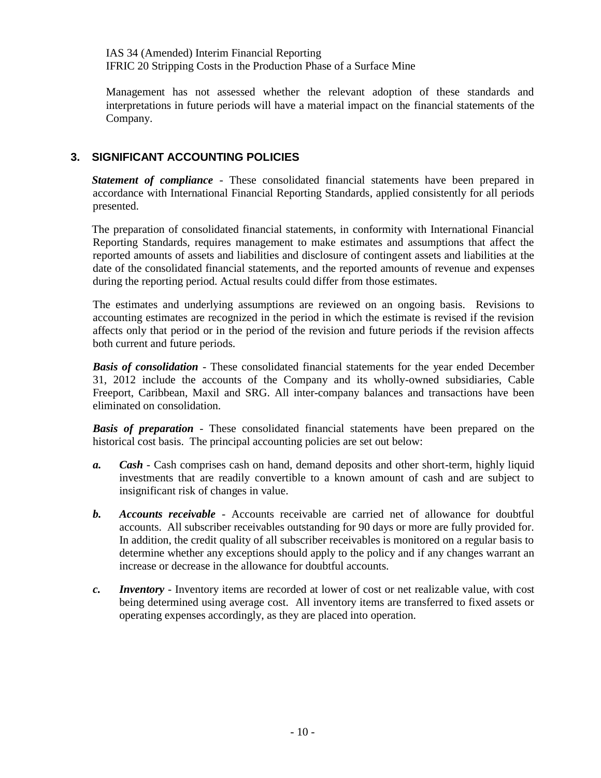IAS 34 (Amended) Interim Financial Reporting IFRIC 20 Stripping Costs in the Production Phase of a Surface Mine

Management has not assessed whether the relevant adoption of these standards and interpretations in future periods will have a material impact on the financial statements of the Company.

# **3. SIGNIFICANT ACCOUNTING POLICIES**

*Statement of compliance* - These consolidated financial statements have been prepared in accordance with International Financial Reporting Standards, applied consistently for all periods presented.

The preparation of consolidated financial statements, in conformity with International Financial Reporting Standards, requires management to make estimates and assumptions that affect the reported amounts of assets and liabilities and disclosure of contingent assets and liabilities at the date of the consolidated financial statements, and the reported amounts of revenue and expenses during the reporting period. Actual results could differ from those estimates.

The estimates and underlying assumptions are reviewed on an ongoing basis. Revisions to accounting estimates are recognized in the period in which the estimate is revised if the revision affects only that period or in the period of the revision and future periods if the revision affects both current and future periods.

*Basis of consolidation* - These consolidated financial statements for the year ended December 31, 2012 include the accounts of the Company and its wholly-owned subsidiaries, Cable Freeport, Caribbean, Maxil and SRG. All inter-company balances and transactions have been eliminated on consolidation.

*Basis of preparation* - These consolidated financial statements have been prepared on the historical cost basis. The principal accounting policies are set out below:

- *a. Cash -* Cash comprises cash on hand, demand deposits and other short-term, highly liquid investments that are readily convertible to a known amount of cash and are subject to insignificant risk of changes in value.
- *b. Accounts receivable -* Accounts receivable are carried net of allowance for doubtful accounts. All subscriber receivables outstanding for 90 days or more are fully provided for. In addition, the credit quality of all subscriber receivables is monitored on a regular basis to determine whether any exceptions should apply to the policy and if any changes warrant an increase or decrease in the allowance for doubtful accounts.
- *c. Inventory -* Inventory items are recorded at lower of cost or net realizable value, with cost being determined using average cost. All inventory items are transferred to fixed assets or operating expenses accordingly, as they are placed into operation.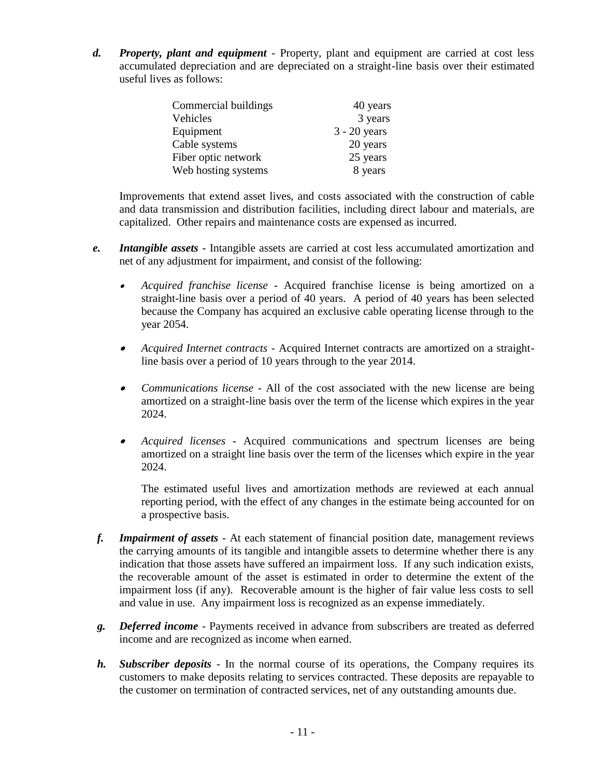*d. Property, plant and equipment* - Property, plant and equipment are carried at cost less accumulated depreciation and are depreciated on a straight-line basis over their estimated useful lives as follows:

| Commercial buildings | 40 years       |
|----------------------|----------------|
| Vehicles             | 3 years        |
| Equipment            | $3 - 20$ years |
| Cable systems        | 20 years       |
| Fiber optic network  | 25 years       |
| Web hosting systems  | 8 years        |

Improvements that extend asset lives, and costs associated with the construction of cable and data transmission and distribution facilities, including direct labour and materials, are capitalized. Other repairs and maintenance costs are expensed as incurred.

- *e. Intangible assets* Intangible assets are carried at cost less accumulated amortization and net of any adjustment for impairment, and consist of the following:
	- . *Acquired franchise license* - Acquired franchise license is being amortized on a straight-line basis over a period of 40 years. A period of 40 years has been selected because the Company has acquired an exclusive cable operating license through to the year 2054.
	- $\bullet$  *Acquired Internet contracts -* Acquired Internet contracts are amortized on a straightline basis over a period of 10 years through to the year 2014.
	- $\bullet$  *Communications license -* All of the cost associated with the new license are being amortized on a straight-line basis over the term of the license which expires in the year 2024.
	- $\bullet$  *Acquired licenses -* Acquired communications and spectrum licenses are being amortized on a straight line basis over the term of the licenses which expire in the year 2024.

The estimated useful lives and amortization methods are reviewed at each annual reporting period, with the effect of any changes in the estimate being accounted for on a prospective basis.

- *f. Impairment of assets -* At each statement of financial position date, management reviews the carrying amounts of its tangible and intangible assets to determine whether there is any indication that those assets have suffered an impairment loss. If any such indication exists, the recoverable amount of the asset is estimated in order to determine the extent of the impairment loss (if any). Recoverable amount is the higher of fair value less costs to sell and value in use. Any impairment loss is recognized as an expense immediately.
- *g. Deferred income* Payments received in advance from subscribers are treated as deferred income and are recognized as income when earned.
- *h. Subscriber deposits* In the normal course of its operations, the Company requires its customers to make deposits relating to services contracted. These deposits are repayable to the customer on termination of contracted services, net of any outstanding amounts due.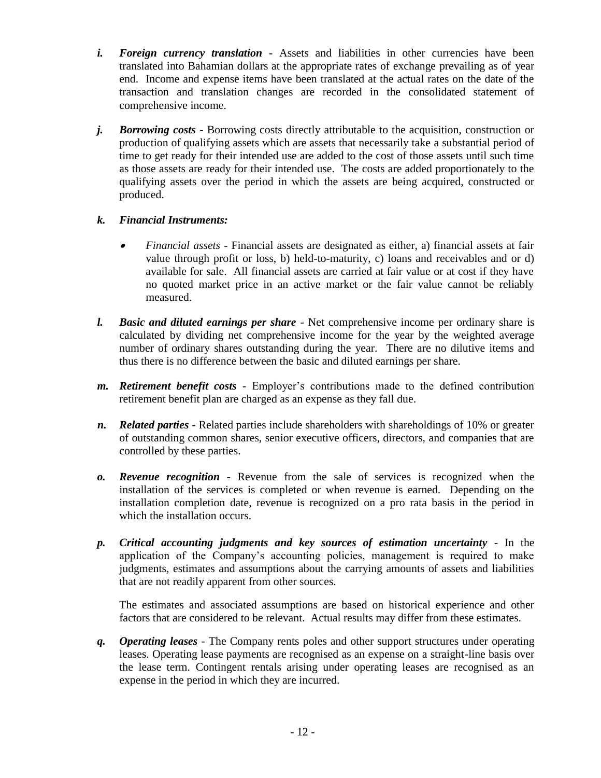- *i. Foreign currency translation* Assets and liabilities in other currencies have been translated into Bahamian dollars at the appropriate rates of exchange prevailing as of year end. Income and expense items have been translated at the actual rates on the date of the transaction and translation changes are recorded in the consolidated statement of comprehensive income.
- *j. Borrowing costs -* Borrowing costs directly attributable to the acquisition, construction or production of qualifying assets which are assets that necessarily take a substantial period of time to get ready for their intended use are added to the cost of those assets until such time as those assets are ready for their intended use. The costs are added proportionately to the qualifying assets over the period in which the assets are being acquired, constructed or produced.

#### *k. Financial Instruments:*

- $\bullet$  *Financial assets* - Financial assets are designated as either, a) financial assets at fair value through profit or loss, b) held-to-maturity, c) loans and receivables and or d) available for sale. All financial assets are carried at fair value or at cost if they have no quoted market price in an active market or the fair value cannot be reliably measured.
- *l. Basic and diluted earnings per share -* Net comprehensive income per ordinary share is calculated by dividing net comprehensive income for the year by the weighted average number of ordinary shares outstanding during the year. There are no dilutive items and thus there is no difference between the basic and diluted earnings per share.
- *m. Retirement benefit costs -* Employer's contributions made to the defined contribution retirement benefit plan are charged as an expense as they fall due.
- *n. Related parties* Related parties include shareholders with shareholdings of 10% or greater of outstanding common shares, senior executive officers, directors, and companies that are controlled by these parties.
- *o. Revenue recognition* Revenue from the sale of services is recognized when the installation of the services is completed or when revenue is earned. Depending on the installation completion date, revenue is recognized on a pro rata basis in the period in which the installation occurs.
- *p. Critical accounting judgments and key sources of estimation uncertainty -* In the application of the Company's accounting policies, management is required to make judgments, estimates and assumptions about the carrying amounts of assets and liabilities that are not readily apparent from other sources.

The estimates and associated assumptions are based on historical experience and other factors that are considered to be relevant. Actual results may differ from these estimates.

*q. Operating leases* - The Company rents poles and other support structures under operating leases. Operating lease payments are recognised as an expense on a straight-line basis over the lease term. Contingent rentals arising under operating leases are recognised as an expense in the period in which they are incurred.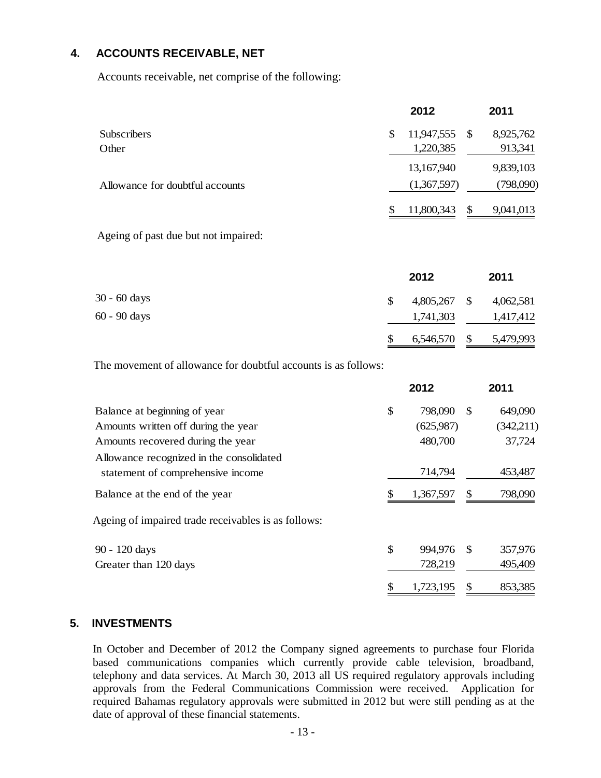# **4. ACCOUNTS RECEIVABLE, NET**

Accounts receivable, net comprise of the following:

|                                 |   | 2012        | 2011            |
|---------------------------------|---|-------------|-----------------|
| <b>Subscribers</b>              | S | 11,947,555  | 8,925,762<br>-S |
| Other                           |   | 1,220,385   | 913,341         |
|                                 |   | 13,167,940  | 9,839,103       |
| Allowance for doubtful accounts |   | (1,367,597) | (798,090)       |
|                                 |   | 11,800,343  | 9,041,013       |

Ageing of past due but not impaired:

|                |    | 2012         | 2011              |
|----------------|----|--------------|-------------------|
| $30 - 60$ days | S. | 4,805,267    | - \$<br>4,062,581 |
| $60 - 90$ days |    | 1,741,303    | 1,417,412         |
|                |    | 6,546,570 \$ | 5,479,993         |

The movement of allowance for doubtful accounts is as follows:

|                                                     | 2012            |    | 2011      |
|-----------------------------------------------------|-----------------|----|-----------|
| Balance at beginning of year                        | \$<br>798,090   | -S | 649,090   |
| Amounts written off during the year                 | (625,987)       |    | (342,211) |
| Amounts recovered during the year                   | 480,700         |    | 37,724    |
| Allowance recognized in the consolidated            |                 |    |           |
| statement of comprehensive income                   | 714,794         |    | 453,487   |
| Balance at the end of the year                      | 1,367,597       | \$ | 798,090   |
| Ageing of impaired trade receivables is as follows: |                 |    |           |
| 90 - 120 days                                       | \$<br>994,976   | -S | 357,976   |
| Greater than 120 days                               | 728,219         |    | 495,409   |
|                                                     | \$<br>1,723,195 |    | 853,385   |

## **5. INVESTMENTS**

In October and December of 2012 the Company signed agreements to purchase four Florida based communications companies which currently provide cable television, broadband, telephony and data services. At March 30, 2013 all US required regulatory approvals including approvals from the Federal Communications Commission were received. Application for required Bahamas regulatory approvals were submitted in 2012 but were still pending as at the date of approval of these financial statements.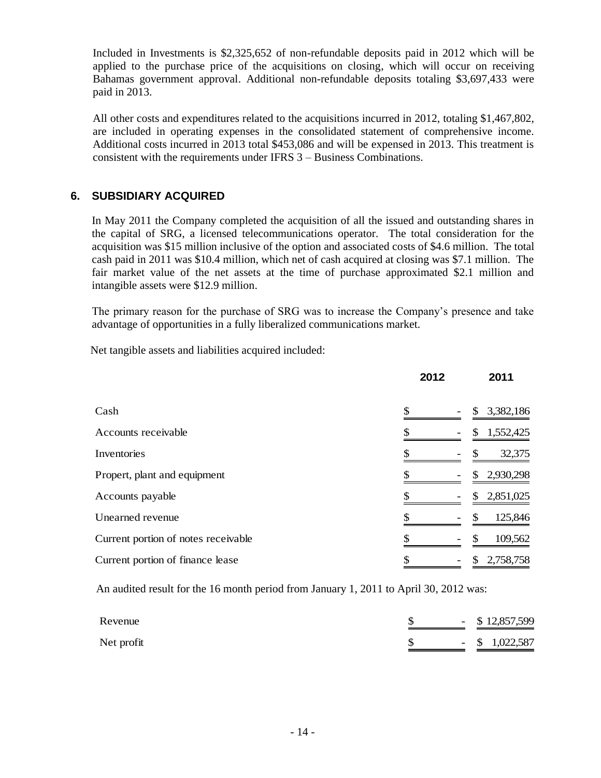Included in Investments is \$2,325,652 of non-refundable deposits paid in 2012 which will be applied to the purchase price of the acquisitions on closing, which will occur on receiving Bahamas government approval. Additional non-refundable deposits totaling \$3,697,433 were paid in 2013.

All other costs and expenditures related to the acquisitions incurred in 2012, totaling \$1,467,802, are included in operating expenses in the consolidated statement of comprehensive income. Additional costs incurred in 2013 total \$453,086 and will be expensed in 2013. This treatment is consistent with the requirements under IFRS 3 – Business Combinations.

#### **6. SUBSIDIARY ACQUIRED**

In May 2011 the Company completed the acquisition of all the issued and outstanding shares in the capital of SRG, a licensed telecommunications operator. The total consideration for the acquisition was \$15 million inclusive of the option and associated costs of \$4.6 million. The total cash paid in 2011 was \$10.4 million, which net of cash acquired at closing was \$7.1 million. The fair market value of the net assets at the time of purchase approximated \$2.1 million and intangible assets were \$12.9 million.

The primary reason for the purchase of SRG was to increase the Company's presence and take advantage of opportunities in a fully liberalized communications market.

Net tangible assets and liabilities acquired included:

|                                     | 2012 | 2011                     |
|-------------------------------------|------|--------------------------|
| Cash                                |      | 3,382,186<br>\$          |
| Accounts receivable                 |      | 1,552,425<br>\$          |
| Inventories                         |      | 32,375                   |
| Propert, plant and equipment        |      | 2,930,298<br>\$          |
| Accounts payable                    |      | 2,851,025<br>\$          |
| Unearned revenue                    |      | 125,846<br><sup>\$</sup> |
| Current portion of notes receivable |      | 109,562<br><sup>\$</sup> |
| Current portion of finance lease    |      | 2,758,758<br>\$.         |

An audited result for the 16 month period from January 1, 2011 to April 30, 2012 was:

| Revenue    |  | $-$ \$ 12,857,599 |
|------------|--|-------------------|
| Net profit |  | $-$ \$ 1,022,587  |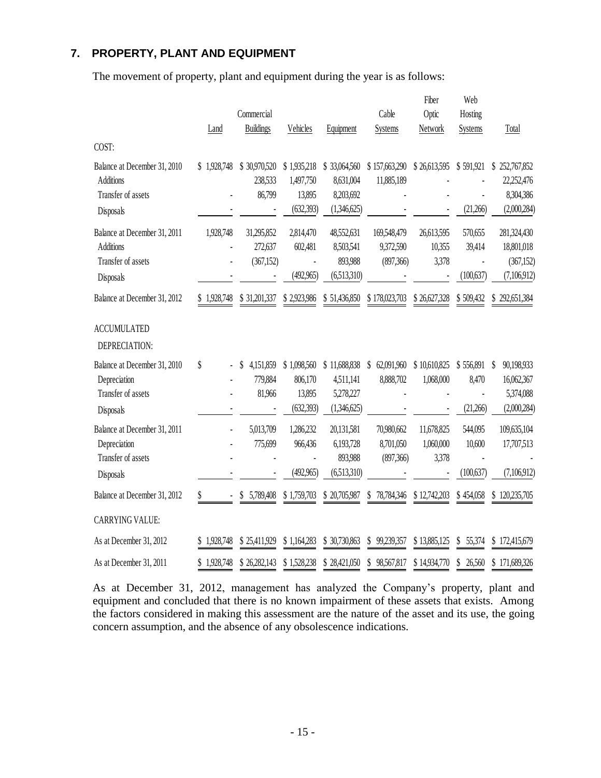# **7. PROPERTY, PLANT AND EQUIPMENT**

The movement of property, plant and equipment during the year is as follows:

|                                                                                     | Land           | Commercial<br><b>Buildings</b>       | Vehicles                                            | Equipment                                             | Cable<br>Systems                                     | Fiber<br>Optic<br>Network        | Web<br>Hosting<br>Systems             | Total                                                      |
|-------------------------------------------------------------------------------------|----------------|--------------------------------------|-----------------------------------------------------|-------------------------------------------------------|------------------------------------------------------|----------------------------------|---------------------------------------|------------------------------------------------------------|
| COST:                                                                               |                |                                      |                                                     |                                                       |                                                      |                                  |                                       |                                                            |
| Balance at December 31, 2010<br>Additions<br>Transfer of assets<br>Disposals        | \$1,928,748    | \$30,970,520<br>238,533<br>86,799    | \$1,935,218<br>1,497,750<br>13,895<br>(632,393)     | \$33,064,560<br>8,631,004<br>8,203,692<br>(1,346,625) | \$157,663,290<br>11,885,189                          | \$26,613,595                     | \$591,921<br>(21,266)                 | 252,767,852<br>S<br>22,252,476<br>8,304,386<br>(2,000,284) |
| Balance at December 31, 2011<br><b>Additions</b><br>Transfer of assets<br>Disposals | 1,928,748      | 31,295,852<br>272,637<br>(367, 152)  | 2,814,470<br>602,481<br>$\overline{a}$<br>(492,965) | 48,552,631<br>8,503,541<br>893,988<br>(6,513,310)     | 169,548,479<br>9,372,590<br>(897,366)                | 26,613,595<br>10,355<br>3,378    | 570,655<br>39,414<br>÷,<br>(100, 637) | 281,324,430<br>18,801,018<br>(367, 152)<br>(7,106,912)     |
| Balance at December 31, 2012                                                        | \$1,928,748    | \$31,201,337                         | \$2,923,986                                         | \$51,436,850                                          | \$178,023,703                                        | \$26,627,328                     | \$509,432                             | \$<br>292,651,384                                          |
| <b>ACCUMULATED</b><br>DEPRECIATION:                                                 |                |                                      |                                                     |                                                       |                                                      |                                  |                                       |                                                            |
| Balance at December 31, 2010<br>Depreciation<br>Transfer of assets<br>Disposals     | \$             | \$<br>4,151,859<br>779,884<br>81,966 | \$1,098,560<br>806,170<br>13,895<br>(632,393)       | \$11,688,838<br>4,511,141<br>5,278,227<br>(1,346,625) | 62,091,960<br>$\boldsymbol{\mathsf{S}}$<br>8,888,702 | \$10,610,825<br>1,068,000        | \$556,891<br>8,470<br>(21,266)        | 90,198,933<br>S<br>16,062,367<br>5,374,088<br>(2,000,284)  |
| Balance at December 31, 2011<br>Depreciation<br>Transfer of assets<br>Disposals     |                | 5,013,709<br>775,699                 | 1,286,232<br>966,436<br>(492,965)                   | 20,131,581<br>6,193,728<br>893,988<br>(6,513,310)     | 70,980,662<br>8,701,050<br>(897,366)                 | 11,678,825<br>1,060,000<br>3,378 | 544,095<br>10,600<br>(100, 637)       | 109,635,104<br>17,707,513<br>(7,106,912)                   |
| Balance at December 31, 2012                                                        | \$             | 5,789,408<br>\$                      | \$1,759,703                                         | \$20,705,987                                          | 78,784,346<br>\$                                     | \$12,742,203                     | \$454,058                             | \$120,235,705                                              |
| <b>CARRYING VALUE:</b>                                                              |                |                                      |                                                     |                                                       |                                                      |                                  |                                       |                                                            |
| As at December 31, 2012                                                             | 1,928,748<br>S | \$25,411,929                         | \$1,164,283                                         | \$30,730,863                                          | 99,239,357<br>\$                                     | \$13,885,125                     | 55,374<br>\$                          | 172,415,679<br>\$                                          |
| As at December 31, 2011                                                             | 1,928,748<br>S | \$26,282,143                         | \$1,528,238                                         | \$28,421,050                                          | 98,567,817<br>S                                      | \$14,934,770                     | 26,560<br>S                           | \$171,689,326                                              |

As at December 31, 2012, management has analyzed the Company's property, plant and equipment and concluded that there is no known impairment of these assets that exists. Among the factors considered in making this assessment are the nature of the asset and its use, the going concern assumption, and the absence of any obsolescence indications.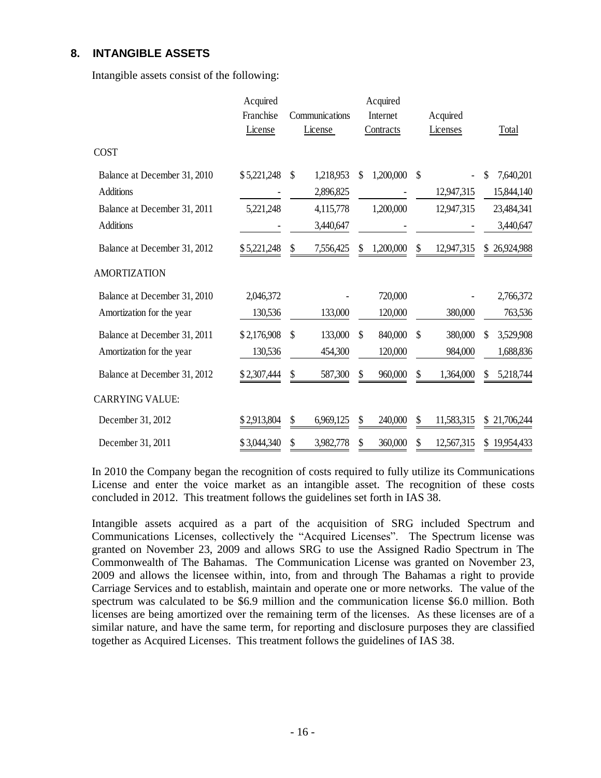## **8. INTANGIBLE ASSETS**

Intangible assets consist of the following:

|                              | Acquired             |                           | Acquired              |                                           |                 |
|------------------------------|----------------------|---------------------------|-----------------------|-------------------------------------------|-----------------|
|                              | Franchise<br>License | Communications<br>License | Internet<br>Contracts | Acquired<br>Licenses                      | Total           |
| <b>COST</b>                  |                      |                           |                       |                                           |                 |
| Balance at December 31, 2010 | \$5,221,248          | 1,218,953<br>\$           | \$<br>1,200,000       | $\mathcal{S}$<br>$\overline{\phantom{a}}$ | \$<br>7,640,201 |
| <b>Additions</b>             |                      | 2,896,825                 |                       | 12,947,315                                | 15,844,140      |
| Balance at December 31, 2011 | 5,221,248            | 4,115,778                 | 1,200,000             | 12,947,315                                | 23,484,341      |
| <b>Additions</b>             |                      | 3,440,647                 |                       |                                           | 3,440,647       |
| Balance at December 31, 2012 | \$5,221,248          | 7,556,425<br>\$           | 1,200,000<br>\$       | 12,947,315<br>\$                          | 26,924,988<br>S |
| <b>AMORTIZATION</b>          |                      |                           |                       |                                           |                 |
| Balance at December 31, 2010 | 2,046,372            |                           | 720,000               |                                           | 2,766,372       |
| Amortization for the year    | 130,536              | 133,000                   | 120,000               | 380,000                                   | 763,536         |
| Balance at December 31, 2011 | \$2,176,908          | \$<br>133,000             | \$<br>840,000         | \$<br>380,000                             | \$<br>3,529,908 |
| Amortization for the year    | 130,536              | 454,300                   | 120,000               | 984,000                                   | 1,688,836       |
| Balance at December 31, 2012 | \$2,307,444          | 587,300<br>\$             | 960,000<br>\$         | \$<br>1,364,000                           | 5,218,744       |
| <b>CARRYING VALUE:</b>       |                      |                           |                       |                                           |                 |
| December 31, 2012            | \$2,913,804          | \$<br>6,969,125           | \$<br>240,000         | 11,583,315<br>\$                          | \$21,706,244    |
| December 31, 2011            | \$3,044,340          | 3,982,778<br>S            | 360,000<br>S          | 12,567,315<br>S                           | \$19,954,433    |

In 2010 the Company began the recognition of costs required to fully utilize its Communications License and enter the voice market as an intangible asset. The recognition of these costs concluded in 2012. This treatment follows the guidelines set forth in IAS 38.

Intangible assets acquired as a part of the acquisition of SRG included Spectrum and Communications Licenses, collectively the "Acquired Licenses". The Spectrum license was granted on November 23, 2009 and allows SRG to use the Assigned Radio Spectrum in The Commonwealth of The Bahamas. The Communication License was granted on November 23, 2009 and allows the licensee within, into, from and through The Bahamas a right to provide Carriage Services and to establish, maintain and operate one or more networks. The value of the spectrum was calculated to be \$6.9 million and the communication license \$6.0 million. Both licenses are being amortized over the remaining term of the licenses. As these licenses are of a similar nature, and have the same term, for reporting and disclosure purposes they are classified together as Acquired Licenses. This treatment follows the guidelines of IAS 38.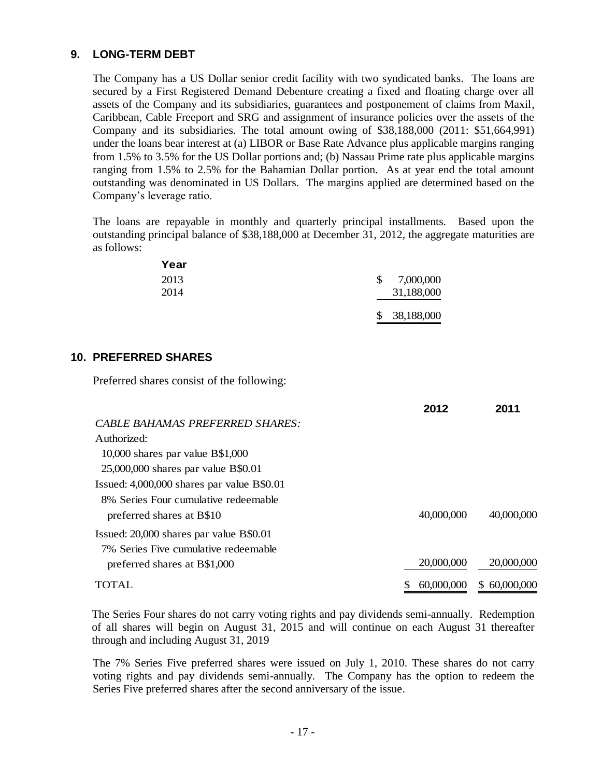#### **9. LONG-TERM DEBT**

The Company has a US Dollar senior credit facility with two syndicated banks. The loans are secured by a First Registered Demand Debenture creating a fixed and floating charge over all assets of the Company and its subsidiaries, guarantees and postponement of claims from Maxil, Caribbean, Cable Freeport and SRG and assignment of insurance policies over the assets of the Company and its subsidiaries. The total amount owing of \$38,188,000 (2011: \$51,664,991) under the loans bear interest at (a) LIBOR or Base Rate Advance plus applicable margins ranging from 1.5% to 3.5% for the US Dollar portions and; (b) Nassau Prime rate plus applicable margins ranging from 1.5% to 2.5% for the Bahamian Dollar portion. As at year end the total amount outstanding was denominated in US Dollars. The margins applied are determined based on the Company's leverage ratio.

The loans are repayable in monthly and quarterly principal installments. Based upon the outstanding principal balance of \$38,188,000 at December 31, 2012, the aggregate maturities are as follows:

| Year |              |               |
|------|--------------|---------------|
| 2013 | <sup>S</sup> | 7,000,000     |
| 2014 |              | 31,188,000    |
|      |              | \$ 38,188,000 |

#### **10. PREFERRED SHARES**

Preferred shares consist of the following:

|                                            | 2012       |     | 2011       |
|--------------------------------------------|------------|-----|------------|
| <b>CABLE BAHAMAS PREFERRED SHARES:</b>     |            |     |            |
| Authorized:                                |            |     |            |
| 10,000 shares par value B\$1,000           |            |     |            |
| 25,000,000 shares par value B\$0.01        |            |     |            |
| Issued: 4,000,000 shares par value B\$0.01 |            |     |            |
| 8% Series Four cumulative redeemable       |            |     |            |
| preferred shares at B\$10                  | 40,000,000 |     | 40,000,000 |
| Issued: 20,000 shares par value B\$0.01    |            |     |            |
| 7% Series Five cumulative redeemable       |            |     |            |
| preferred shares at B\$1,000               | 20,000,000 |     | 20,000,000 |
| TOTAL.                                     | 60,000,000 | SS. | 60,000,000 |

The Series Four shares do not carry voting rights and pay dividends semi-annually. Redemption of all shares will begin on August 31, 2015 and will continue on each August 31 thereafter through and including August 31, 2019

The 7% Series Five preferred shares were issued on July 1, 2010. These shares do not carry voting rights and pay dividends semi-annually. The Company has the option to redeem the Series Five preferred shares after the second anniversary of the issue.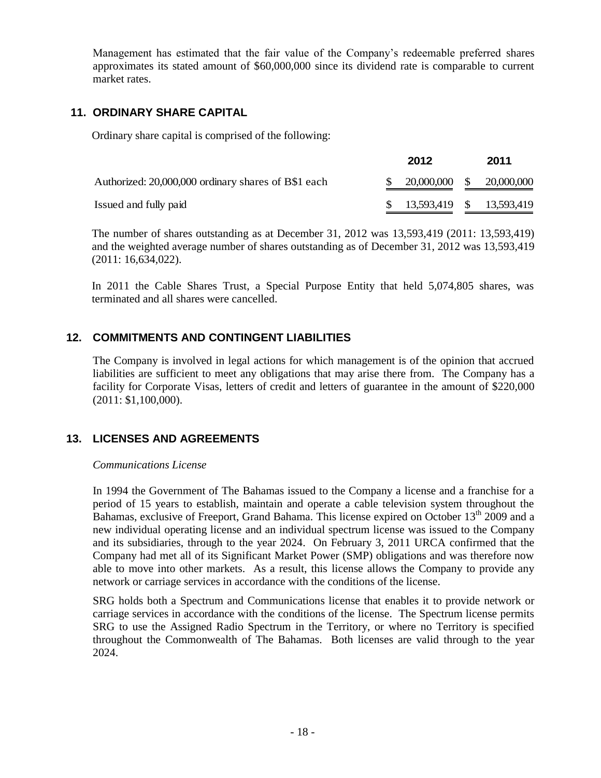Management has estimated that the fair value of the Company's redeemable preferred shares approximates its stated amount of \$60,000,000 since its dividend rate is comparable to current market rates.

#### **11. ORDINARY SHARE CAPITAL**

Ordinary share capital is comprised of the following:

|                                                     | 2012                        | 2011       |
|-----------------------------------------------------|-----------------------------|------------|
| Authorized: 20,000,000 ordinary shares of B\$1 each | 20,000,000 \$               | 20,000,000 |
| Issued and fully paid                               | \$ 13,593,419 \$ 13,593,419 |            |

The number of shares outstanding as at December 31, 2012 was 13,593,419 (2011: 13,593,419) and the weighted average number of shares outstanding as of December 31, 2012 was 13,593,419 (2011: 16,634,022).

In 2011 the Cable Shares Trust, a Special Purpose Entity that held 5,074,805 shares, was terminated and all shares were cancelled.

## **12. COMMITMENTS AND CONTINGENT LIABILITIES**

The Company is involved in legal actions for which management is of the opinion that accrued liabilities are sufficient to meet any obligations that may arise there from. The Company has a facility for Corporate Visas, letters of credit and letters of guarantee in the amount of \$220,000 (2011: \$1,100,000).

## **13. LICENSES AND AGREEMENTS**

#### *Communications License*

In 1994 the Government of The Bahamas issued to the Company a license and a franchise for a period of 15 years to establish, maintain and operate a cable television system throughout the Bahamas, exclusive of Freeport, Grand Bahama. This license expired on October 13<sup>th</sup> 2009 and a new individual operating license and an individual spectrum license was issued to the Company and its subsidiaries, through to the year 2024. On February 3, 2011 URCA confirmed that the Company had met all of its Significant Market Power (SMP) obligations and was therefore now able to move into other markets. As a result, this license allows the Company to provide any network or carriage services in accordance with the conditions of the license.

SRG holds both a Spectrum and Communications license that enables it to provide network or carriage services in accordance with the conditions of the license. The Spectrum license permits SRG to use the Assigned Radio Spectrum in the Territory, or where no Territory is specified throughout the Commonwealth of The Bahamas. Both licenses are valid through to the year 2024.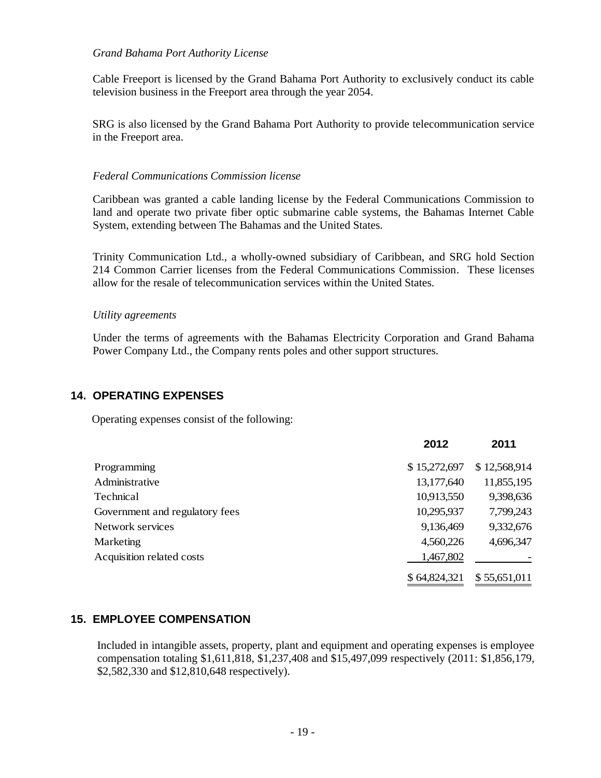#### *Grand Bahama Port Authority License*

Cable Freeport is licensed by the Grand Bahama Port Authority to exclusively conduct its cable television business in the Freeport area through the year 2054.

SRG is also licensed by the Grand Bahama Port Authority to provide telecommunication service in the Freeport area.

#### *Federal Communications Commission license*

Caribbean was granted a cable landing license by the Federal Communications Commission to land and operate two private fiber optic submarine cable systems, the Bahamas Internet Cable System, extending between The Bahamas and the United States.

Trinity Communication Ltd., a wholly-owned subsidiary of Caribbean, and SRG hold Section 214 Common Carrier licenses from the Federal Communications Commission. These licenses allow for the resale of telecommunication services within the United States.

#### *Utility agreements*

Under the terms of agreements with the Bahamas Electricity Corporation and Grand Bahama Power Company Ltd., the Company rents poles and other support structures.

#### **14. OPERATING EXPENSES**

Operating expenses consist of the following:

|                                | 2012         | 2011         |
|--------------------------------|--------------|--------------|
| Programming                    | \$15,272,697 | \$12,568,914 |
| Administrative                 | 13,177,640   | 11,855,195   |
| Technical                      | 10,913,550   | 9,398,636    |
| Government and regulatory fees | 10,295,937   | 7,799,243    |
| Network services               | 9,136,469    | 9,332,676    |
| Marketing                      | 4,560,226    | 4,696,347    |
| Acquisition related costs      | 1,467,802    |              |
|                                | \$64,824,321 | \$55,651,011 |

#### **15. EMPLOYEE COMPENSATION**

Included in intangible assets, property, plant and equipment and operating expenses is employee compensation totaling \$1,611,818, \$1,237,408 and \$15,497,099 respectively (2011: \$1,856,179, \$2,582,330 and \$12,810,648 respectively).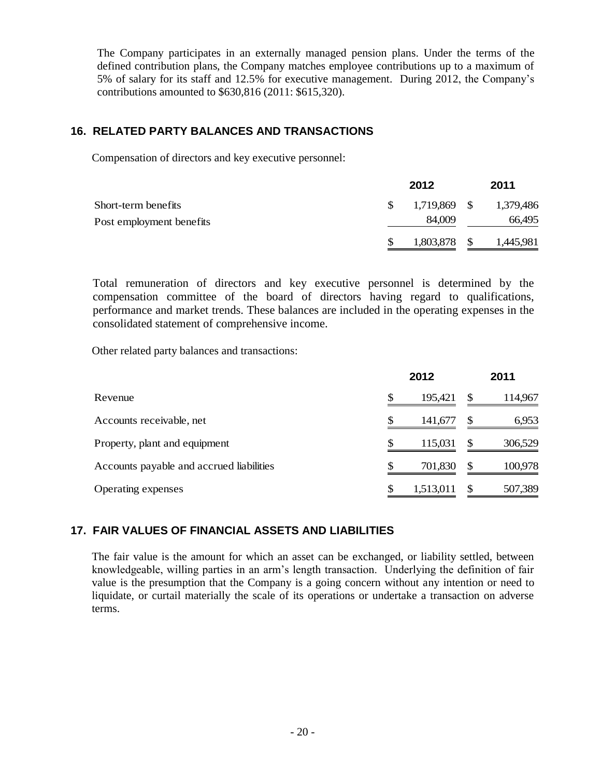The Company participates in an externally managed pension plans. Under the terms of the defined contribution plans, the Company matches employee contributions up to a maximum of 5% of salary for its staff and 12.5% for executive management. During 2012, the Company's contributions amounted to \$630,816 (2011: \$615,320).

#### **16. RELATED PARTY BALANCES AND TRANSACTIONS**

Compensation of directors and key executive personnel:

|                          | 2012      |              | 2011      |
|--------------------------|-----------|--------------|-----------|
| Short-term benefits      | 1,719,869 | $\mathbb{S}$ | 1,379,486 |
| Post employment benefits | 84,009    |              | 66,495    |
|                          | 1,803,878 | - \$         | 1,445,981 |

Total remuneration of directors and key executive personnel is determined by the compensation committee of the board of directors having regard to qualifications, performance and market trends. These balances are included in the operating expenses in the consolidated statement of comprehensive income.

Other related party balances and transactions:

|                                          | 2012      |               | 2011    |
|------------------------------------------|-----------|---------------|---------|
| Revenue                                  | 195,421   | <sup>\$</sup> | 114,967 |
| Accounts receivable, net                 | 141,677   | -S            | 6,953   |
| Property, plant and equipment            | 115,031   |               | 306,529 |
| Accounts payable and accrued liabilities | 701,830   | \$.           | 100,978 |
| Operating expenses                       | 1,513,011 | -S            | 507,389 |

## **17. FAIR VALUES OF FINANCIAL ASSETS AND LIABILITIES**

The fair value is the amount for which an asset can be exchanged, or liability settled, between knowledgeable, willing parties in an arm's length transaction. Underlying the definition of fair value is the presumption that the Company is a going concern without any intention or need to liquidate, or curtail materially the scale of its operations or undertake a transaction on adverse terms.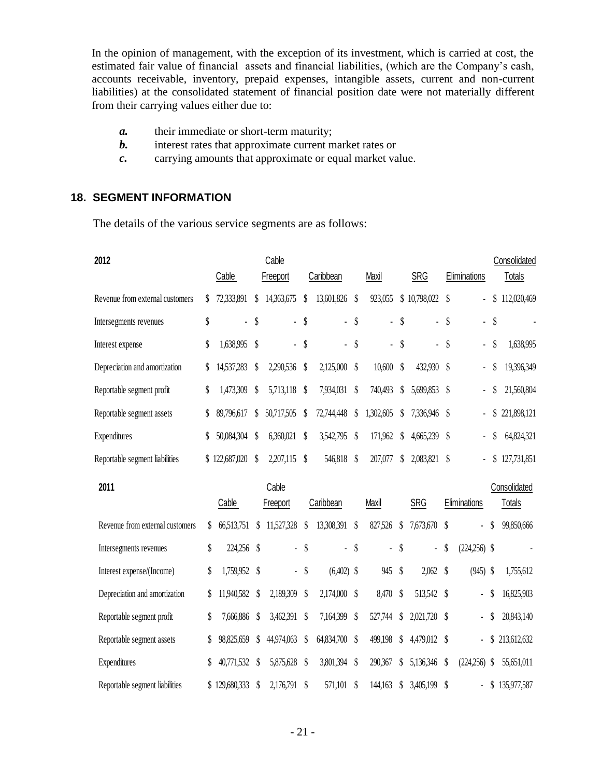In the opinion of management, with the exception of its investment, which is carried at cost, the estimated fair value of financial assets and financial liabilities, (which are the Company's cash, accounts receivable, inventory, prepaid expenses, intangible assets, current and non-current liabilities) at the consolidated statement of financial position date were not materially different from their carrying values either due to:

- *a.* their immediate or short-term maturity;
- *b.* interest rates that approximate current market rates or
- *c.* carrying amounts that approximate or equal market value.

## **18. SEGMENT INFORMATION**

The details of the various service segments are as follows:

| 2012                            |                      |               | Cable                    |              |                          |                           |                          |              |                          |                                | Consolidated      |
|---------------------------------|----------------------|---------------|--------------------------|--------------|--------------------------|---------------------------|--------------------------|--------------|--------------------------|--------------------------------|-------------------|
|                                 | Cable                |               | Freeport                 |              | Caribbean                |                           | Maxil                    |              | <b>SRG</b>               | Eliminations                   | Totals            |
| Revenue from external customers | \$<br>72,333,891     | \$            | 14,363,675               | \$           | 13,601,826               | \$                        | 923,055                  |              | \$10,798,022             | \$                             | 112,020,469       |
| Intersegments revenues          | \$<br>$\overline{a}$ | \$            | L.                       | \$           | $\overline{\phantom{0}}$ | $\sqrt[6]{}$              | $\overline{\phantom{a}}$ | \$           |                          | \$<br>$\overline{\phantom{0}}$ | \$                |
| Interest expense                | \$<br>1,638,995      | \$            | $\overline{\phantom{a}}$ | \$           | $\overline{\phantom{0}}$ | $\boldsymbol{\mathsf{S}}$ | $\overline{\phantom{a}}$ | \$           | $\overline{\phantom{a}}$ | \$<br>$\overline{\phantom{a}}$ | \$<br>1,638,995   |
| Depreciation and amortization   | \$<br>14,537,283     | \$            | 2,290,536                | S            | 2,125,000                | \$                        | 10,600                   | \$           | 432,930                  | \$<br>$\overline{\phantom{a}}$ | \$<br>19,396,349  |
| Reportable segment profit       | \$<br>1,473,309      | \$            | 5,713,118                | $\mathbb{S}$ | 7,934,031                | \$                        | 740,493                  | \$           | 5,699,853                | \$<br>٠                        | 21,560,804        |
| Reportable segment assets       | \$<br>89,796,617     | \$            | 50,717,505               | \$           | 72,744,448               | \$                        | 1,302,605                | \$           | 7,336,946                | \$                             | 221,898,121       |
| <b>Expenditures</b>             | \$<br>50,084,304     | \$            | 6,360,021                | \$           | 3,542,795                | \$                        | 171,962                  | \$           | 4,665,239                | \$                             | \$<br>64,824,321  |
| Reportable segment liabilities  | \$122,687,020        | \$            | 2,207,115                | \$           | 546,818                  | \$                        | 207,077                  | \$           | 2,083,821                | \$                             | 127,731,851       |
| 2011                            |                      |               | Cable                    |              |                          |                           |                          |              |                          |                                | Consolidated      |
|                                 | Cable                |               | Freeport                 |              | Caribbean                |                           | Maxil                    |              | <b>SRG</b>               | Eliminations                   | Totals            |
| Revenue from external customers | \$<br>66,513,751     | \$            | 11,527,328               | \$           | 13,308,391               | \$                        | 827,526                  | \$           | 7,673,670                | \$<br>÷,                       | \$<br>99,850,666  |
| Intersegments revenues          | \$<br>224,256        | $\sqrt$       | ÷,                       | \$           | ۰                        | $\boldsymbol{\mathsf{S}}$ | $\overline{a}$           | \$           | ÷,                       | \$<br>$(224, 256)$ \$          |                   |
| Interest expense/(Income)       | \$<br>1,759,952      | $\mathcal{S}$ | $\overline{\phantom{0}}$ | \$           | $(6,402)$ \$             |                           | 945                      | $\mathbb{S}$ | 2,062                    | \$<br>$(945)$ \$               | 1,755,612         |
| Depreciation and amortization   | \$<br>11,940,582     | \$            | 2,189,309                | \$           | 2,174,000                | \$                        | 8,470                    | \$           | 513,542                  | \$<br>Ĭ.                       | \$<br>16,825,903  |
| Reportable segment profit       | \$<br>7,666,886      | \$            | 3,462,391                | \$           | 7,164,399                | \$                        | 527,744                  | \$           | 2,021,720                | \$<br>$\overline{a}$           | \$<br>20,843,140  |
| Reportable segment assets       | \$<br>98,825,659     | \$            | 44,974,063               | \$           | 64,834,700               | \$                        | 499,198                  | \$           | 4,479,012                | \$<br>÷,                       | \$<br>213,612,632 |
| Expenditures                    | \$<br>40,771,532     | \$            | 5,875,628                | S            | 3,801,394                | \$                        | 290,367                  | S            | 5,136,346                | \$<br>(224, 256)               | \$<br>55,651,011  |
|                                 |                      |               |                          |              |                          |                           |                          |              |                          |                                |                   |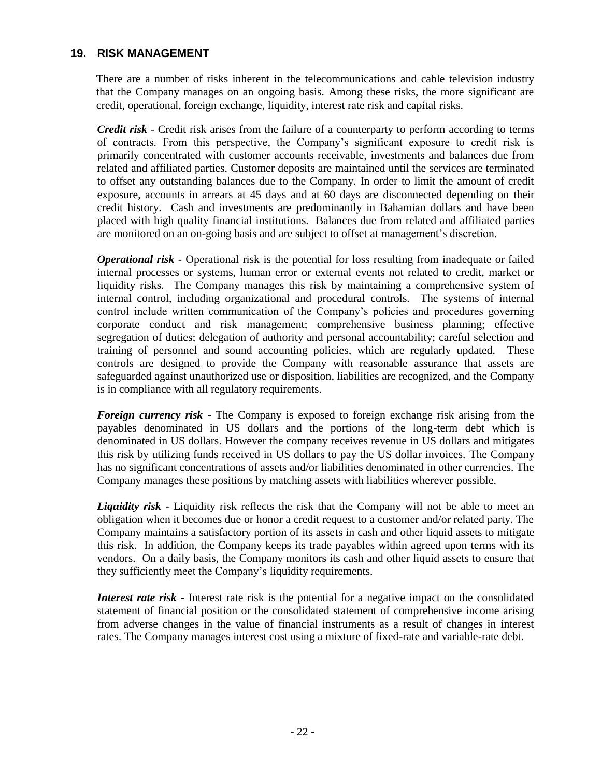#### **19. RISK MANAGEMENT**

There are a number of risks inherent in the telecommunications and cable television industry that the Company manages on an ongoing basis. Among these risks, the more significant are credit, operational, foreign exchange, liquidity, interest rate risk and capital risks.

*Credit risk* - Credit risk arises from the failure of a counterparty to perform according to terms of contracts. From this perspective, the Company's significant exposure to credit risk is primarily concentrated with customer accounts receivable, investments and balances due from related and affiliated parties. Customer deposits are maintained until the services are terminated to offset any outstanding balances due to the Company. In order to limit the amount of credit exposure, accounts in arrears at 45 days and at 60 days are disconnected depending on their credit history. Cash and investments are predominantly in Bahamian dollars and have been placed with high quality financial institutions. Balances due from related and affiliated parties are monitored on an on-going basis and are subject to offset at management's discretion.

*Operational risk* **-** Operational risk is the potential for loss resulting from inadequate or failed internal processes or systems, human error or external events not related to credit, market or liquidity risks. The Company manages this risk by maintaining a comprehensive system of internal control, including organizational and procedural controls. The systems of internal control include written communication of the Company's policies and procedures governing corporate conduct and risk management; comprehensive business planning; effective segregation of duties; delegation of authority and personal accountability; careful selection and training of personnel and sound accounting policies, which are regularly updated. These controls are designed to provide the Company with reasonable assurance that assets are safeguarded against unauthorized use or disposition, liabilities are recognized, and the Company is in compliance with all regulatory requirements.

*Foreign currency risk -* The Company is exposed to foreign exchange risk arising from the payables denominated in US dollars and the portions of the long-term debt which is denominated in US dollars. However the company receives revenue in US dollars and mitigates this risk by utilizing funds received in US dollars to pay the US dollar invoices. The Company has no significant concentrations of assets and/or liabilities denominated in other currencies. The Company manages these positions by matching assets with liabilities wherever possible.

*Liquidity risk* **-** Liquidity risk reflects the risk that the Company will not be able to meet an obligation when it becomes due or honor a credit request to a customer and/or related party. The Company maintains a satisfactory portion of its assets in cash and other liquid assets to mitigate this risk. In addition, the Company keeps its trade payables within agreed upon terms with its vendors. On a daily basis, the Company monitors its cash and other liquid assets to ensure that they sufficiently meet the Company's liquidity requirements.

*Interest rate risk* - Interest rate risk is the potential for a negative impact on the consolidated statement of financial position or the consolidated statement of comprehensive income arising from adverse changes in the value of financial instruments as a result of changes in interest rates. The Company manages interest cost using a mixture of fixed-rate and variable-rate debt.